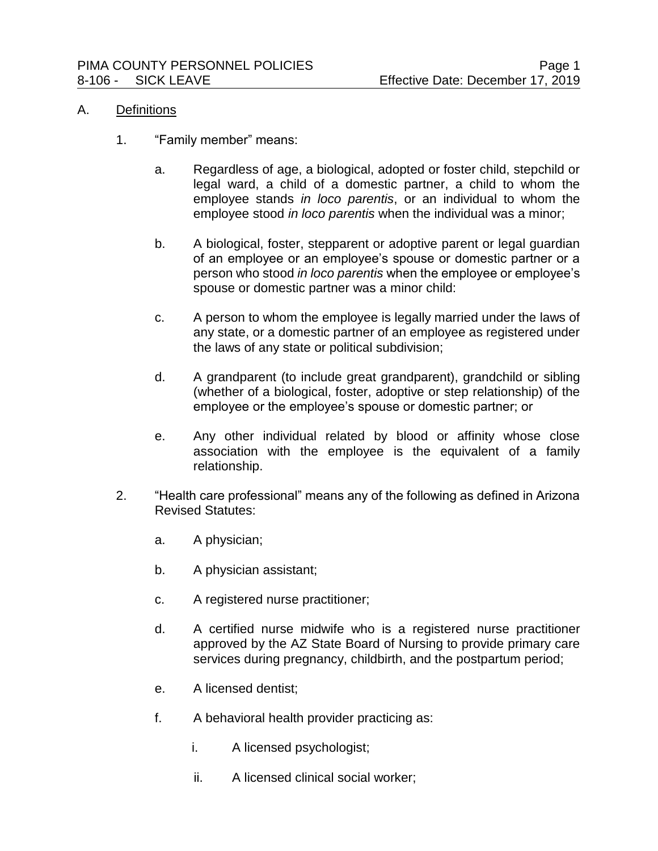## A. Definitions

- 1. "Family member" means:
	- a. Regardless of age, a biological, adopted or foster child, stepchild or legal ward, a child of a domestic partner, a child to whom the employee stands *in loco parentis*, or an individual to whom the employee stood *in loco parentis* when the individual was a minor;
	- b. A biological, foster, stepparent or adoptive parent or legal guardian of an employee or an employee's spouse or domestic partner or a person who stood *in loco parentis* when the employee or employee's spouse or domestic partner was a minor child:
	- c. A person to whom the employee is legally married under the laws of any state, or a domestic partner of an employee as registered under the laws of any state or political subdivision;
	- d. A grandparent (to include great grandparent), grandchild or sibling (whether of a biological, foster, adoptive or step relationship) of the employee or the employee's spouse or domestic partner; or
	- e. Any other individual related by blood or affinity whose close association with the employee is the equivalent of a family relationship.
- 2. "Health care professional" means any of the following as defined in Arizona Revised Statutes:
	- a. A physician;
	- b. A physician assistant;
	- c. A registered nurse practitioner;
	- d. A certified nurse midwife who is a registered nurse practitioner approved by the AZ State Board of Nursing to provide primary care services during pregnancy, childbirth, and the postpartum period;
	- e. A licensed dentist;
	- f. A behavioral health provider practicing as:
		- i. A licensed psychologist;
		- ii. A licensed clinical social worker;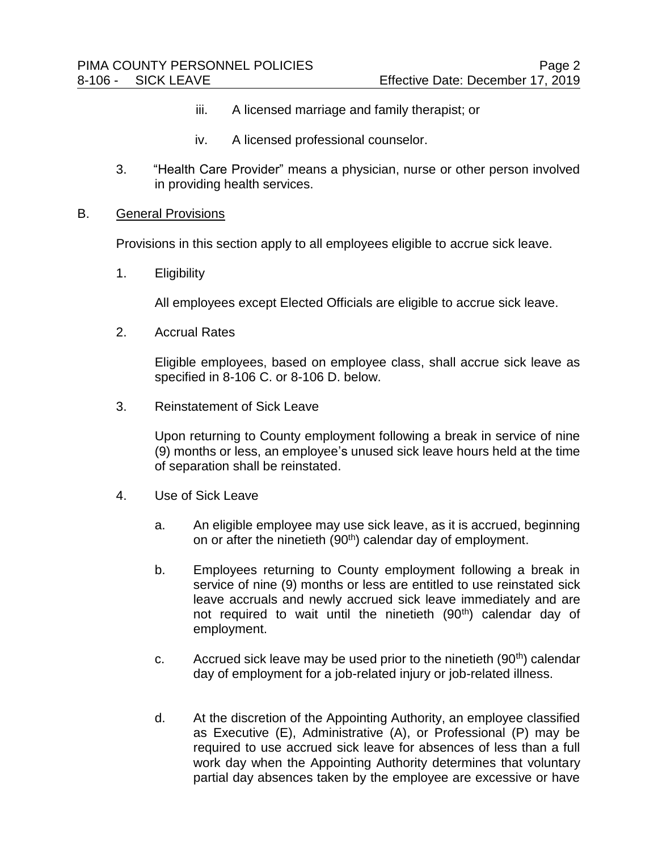- iii. A licensed marriage and family therapist; or
- iv. A licensed professional counselor.
- 3. "Health Care Provider" means a physician, nurse or other person involved in providing health services.

#### B. General Provisions

Provisions in this section apply to all employees eligible to accrue sick leave.

1. Eligibility

All employees except Elected Officials are eligible to accrue sick leave.

2. Accrual Rates

Eligible employees, based on employee class, shall accrue sick leave as specified in 8-106 C. or 8-106 D. below.

3. Reinstatement of Sick Leave

Upon returning to County employment following a break in service of nine (9) months or less, an employee's unused sick leave hours held at the time of separation shall be reinstated.

- 4. Use of Sick Leave
	- a. An eligible employee may use sick leave, as it is accrued, beginning on or after the ninetieth  $(90<sup>th</sup>)$  calendar day of employment.
	- b. Employees returning to County employment following a break in service of nine (9) months or less are entitled to use reinstated sick leave accruals and newly accrued sick leave immediately and are not required to wait until the ninetieth (90<sup>th</sup>) calendar day of employment.
	- c. Accrued sick leave may be used prior to the ninetieth  $(90<sup>th</sup>)$  calendar day of employment for a job-related injury or job-related illness.
	- d. At the discretion of the Appointing Authority, an employee classified as Executive (E), Administrative (A), or Professional (P) may be required to use accrued sick leave for absences of less than a full work day when the Appointing Authority determines that voluntary partial day absences taken by the employee are excessive or have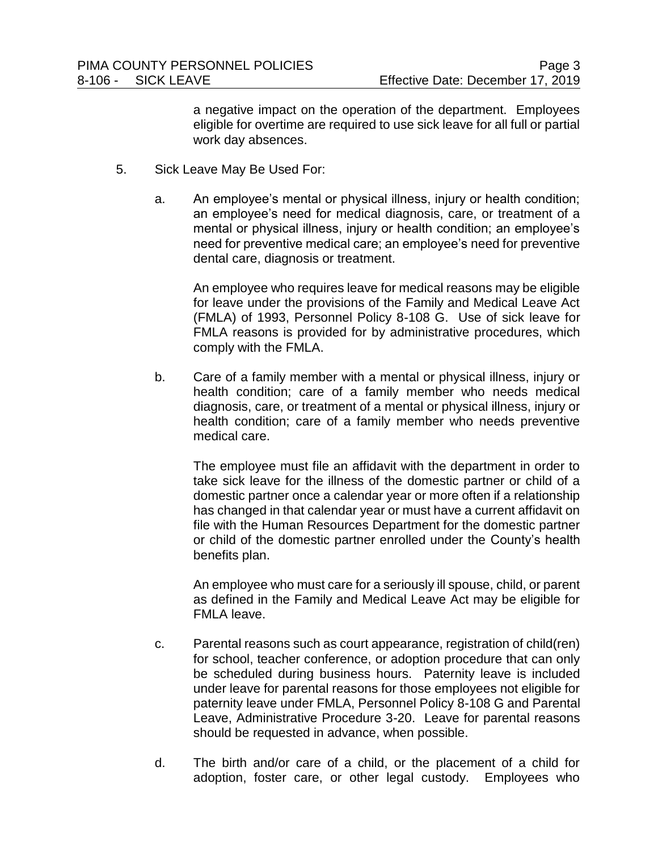a negative impact on the operation of the department. Employees eligible for overtime are required to use sick leave for all full or partial work day absences.

- 5. Sick Leave May Be Used For:
	- a. An employee's mental or physical illness, injury or health condition; an employee's need for medical diagnosis, care, or treatment of a mental or physical illness, injury or health condition; an employee's need for preventive medical care; an employee's need for preventive dental care, diagnosis or treatment.

An employee who requires leave for medical reasons may be eligible for leave under the provisions of the Family and Medical Leave Act (FMLA) of 1993, Personnel Policy 8-108 G. Use of sick leave for FMLA reasons is provided for by administrative procedures, which comply with the FMLA.

b. Care of a family member with a mental or physical illness, injury or health condition; care of a family member who needs medical diagnosis, care, or treatment of a mental or physical illness, injury or health condition; care of a family member who needs preventive medical care.

The employee must file an affidavit with the department in order to take sick leave for the illness of the domestic partner or child of a domestic partner once a calendar year or more often if a relationship has changed in that calendar year or must have a current affidavit on file with the Human Resources Department for the domestic partner or child of the domestic partner enrolled under the County's health benefits plan.

An employee who must care for a seriously ill spouse, child, or parent as defined in the Family and Medical Leave Act may be eligible for FMLA leave.

- c. Parental reasons such as court appearance, registration of child(ren) for school, teacher conference, or adoption procedure that can only be scheduled during business hours. Paternity leave is included under leave for parental reasons for those employees not eligible for paternity leave under FMLA, Personnel Policy 8-108 G and Parental Leave, Administrative Procedure 3-20. Leave for parental reasons should be requested in advance, when possible.
- d. The birth and/or care of a child, or the placement of a child for adoption, foster care, or other legal custody. Employees who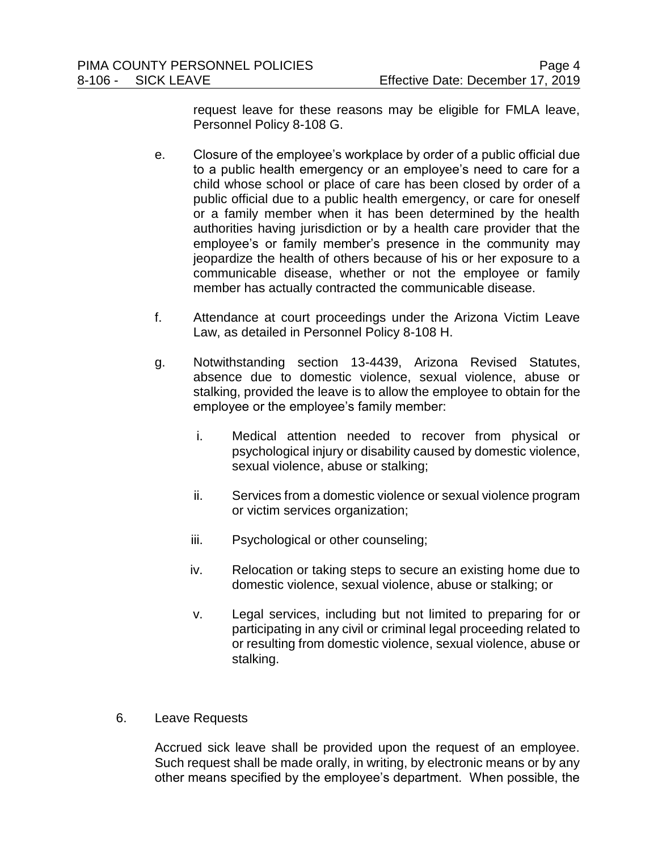request leave for these reasons may be eligible for FMLA leave, Personnel Policy 8-108 G.

- e. Closure of the employee's workplace by order of a public official due to a public health emergency or an employee's need to care for a child whose school or place of care has been closed by order of a public official due to a public health emergency, or care for oneself or a family member when it has been determined by the health authorities having jurisdiction or by a health care provider that the employee's or family member's presence in the community may jeopardize the health of others because of his or her exposure to a communicable disease, whether or not the employee or family member has actually contracted the communicable disease.
- f. Attendance at court proceedings under the Arizona Victim Leave Law, as detailed in Personnel Policy 8-108 H.
- g. Notwithstanding section 13-4439, Arizona Revised Statutes, absence due to domestic violence, sexual violence, abuse or stalking, provided the leave is to allow the employee to obtain for the employee or the employee's family member:
	- i. Medical attention needed to recover from physical or psychological injury or disability caused by domestic violence, sexual violence, abuse or stalking;
	- ii. Services from a domestic violence or sexual violence program or victim services organization;
	- iii. Psychological or other counseling;
	- iv. Relocation or taking steps to secure an existing home due to domestic violence, sexual violence, abuse or stalking; or
	- v. Legal services, including but not limited to preparing for or participating in any civil or criminal legal proceeding related to or resulting from domestic violence, sexual violence, abuse or stalking.
- 6. Leave Requests

Accrued sick leave shall be provided upon the request of an employee. Such request shall be made orally, in writing, by electronic means or by any other means specified by the employee's department. When possible, the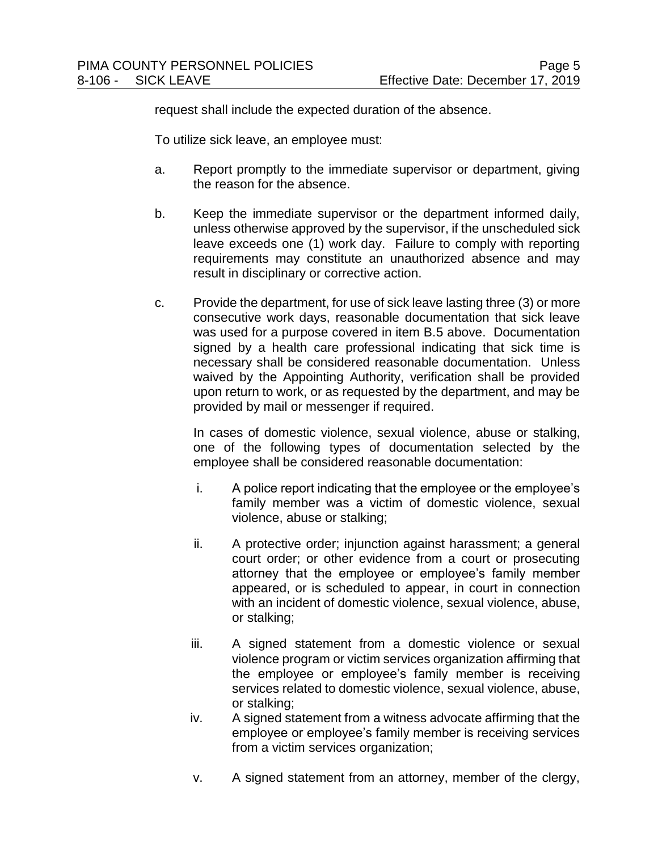request shall include the expected duration of the absence.

To utilize sick leave, an employee must:

- a. Report promptly to the immediate supervisor or department, giving the reason for the absence.
- b. Keep the immediate supervisor or the department informed daily, unless otherwise approved by the supervisor, if the unscheduled sick leave exceeds one (1) work day. Failure to comply with reporting requirements may constitute an unauthorized absence and may result in disciplinary or corrective action.
- c. Provide the department, for use of sick leave lasting three (3) or more consecutive work days, reasonable documentation that sick leave was used for a purpose covered in item B.5 above. Documentation signed by a health care professional indicating that sick time is necessary shall be considered reasonable documentation. Unless waived by the Appointing Authority, verification shall be provided upon return to work, or as requested by the department, and may be provided by mail or messenger if required.

In cases of domestic violence, sexual violence, abuse or stalking, one of the following types of documentation selected by the employee shall be considered reasonable documentation:

- i. A police report indicating that the employee or the employee's family member was a victim of domestic violence, sexual violence, abuse or stalking;
- ii. A protective order; injunction against harassment; a general court order; or other evidence from a court or prosecuting attorney that the employee or employee's family member appeared, or is scheduled to appear, in court in connection with an incident of domestic violence, sexual violence, abuse, or stalking;
- iii. A signed statement from a domestic violence or sexual violence program or victim services organization affirming that the employee or employee's family member is receiving services related to domestic violence, sexual violence, abuse, or stalking;
- iv. A signed statement from a witness advocate affirming that the employee or employee's family member is receiving services from a victim services organization;
- v. A signed statement from an attorney, member of the clergy,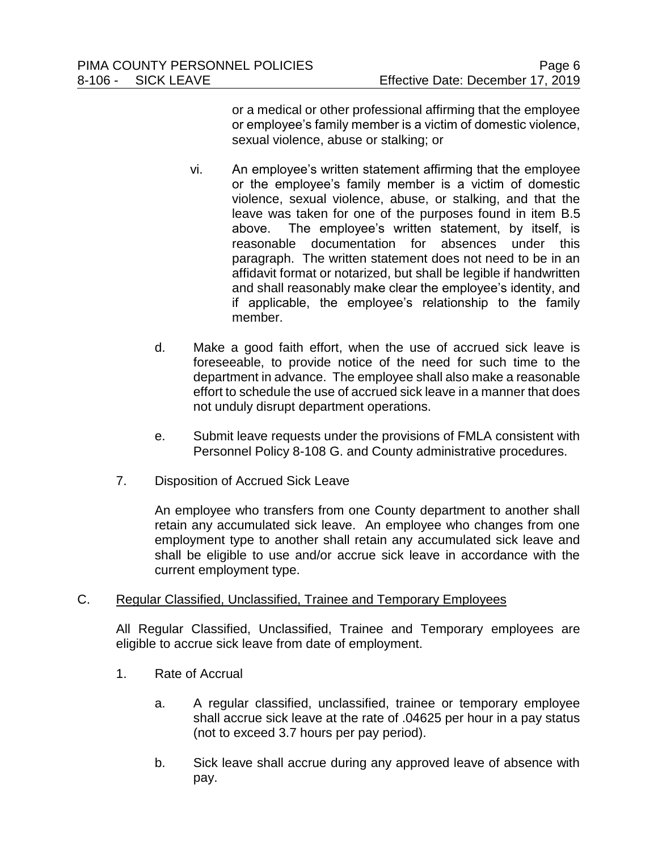or a medical or other professional affirming that the employee or employee's family member is a victim of domestic violence, sexual violence, abuse or stalking; or

- vi. An employee's written statement affirming that the employee or the employee's family member is a victim of domestic violence, sexual violence, abuse, or stalking, and that the leave was taken for one of the purposes found in item B.5 above. The employee's written statement, by itself, is reasonable documentation for absences under this paragraph. The written statement does not need to be in an affidavit format or notarized, but shall be legible if handwritten and shall reasonably make clear the employee's identity, and if applicable, the employee's relationship to the family member.
- d. Make a good faith effort, when the use of accrued sick leave is foreseeable, to provide notice of the need for such time to the department in advance. The employee shall also make a reasonable effort to schedule the use of accrued sick leave in a manner that does not unduly disrupt department operations.
- e. Submit leave requests under the provisions of FMLA consistent with Personnel Policy 8-108 G. and County administrative procedures.
- 7. Disposition of Accrued Sick Leave

An employee who transfers from one County department to another shall retain any accumulated sick leave. An employee who changes from one employment type to another shall retain any accumulated sick leave and shall be eligible to use and/or accrue sick leave in accordance with the current employment type.

# C. Regular Classified, Unclassified, Trainee and Temporary Employees

All Regular Classified, Unclassified, Trainee and Temporary employees are eligible to accrue sick leave from date of employment.

- 1. Rate of Accrual
	- a. A regular classified, unclassified, trainee or temporary employee shall accrue sick leave at the rate of .04625 per hour in a pay status (not to exceed 3.7 hours per pay period).
	- b. Sick leave shall accrue during any approved leave of absence with pay.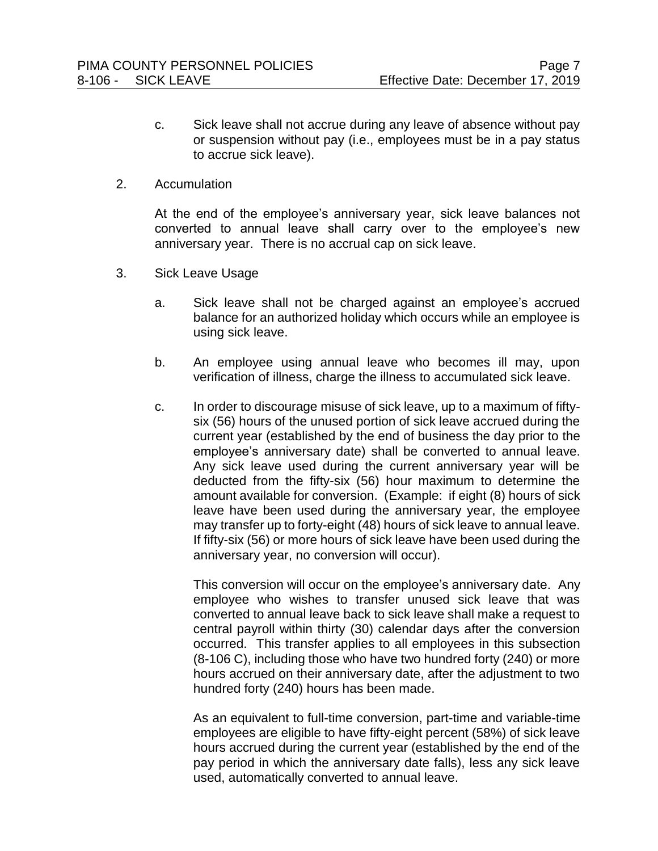- c. Sick leave shall not accrue during any leave of absence without pay or suspension without pay (i.e., employees must be in a pay status to accrue sick leave).
- 2. Accumulation

At the end of the employee's anniversary year, sick leave balances not converted to annual leave shall carry over to the employee's new anniversary year. There is no accrual cap on sick leave.

- 3. Sick Leave Usage
	- a. Sick leave shall not be charged against an employee's accrued balance for an authorized holiday which occurs while an employee is using sick leave.
	- b. An employee using annual leave who becomes ill may, upon verification of illness, charge the illness to accumulated sick leave.
	- c. In order to discourage misuse of sick leave, up to a maximum of fiftysix (56) hours of the unused portion of sick leave accrued during the current year (established by the end of business the day prior to the employee's anniversary date) shall be converted to annual leave. Any sick leave used during the current anniversary year will be deducted from the fifty-six (56) hour maximum to determine the amount available for conversion. (Example: if eight (8) hours of sick leave have been used during the anniversary year, the employee may transfer up to forty-eight (48) hours of sick leave to annual leave. If fifty-six (56) or more hours of sick leave have been used during the anniversary year, no conversion will occur).

This conversion will occur on the employee's anniversary date. Any employee who wishes to transfer unused sick leave that was converted to annual leave back to sick leave shall make a request to central payroll within thirty (30) calendar days after the conversion occurred. This transfer applies to all employees in this subsection (8-106 C), including those who have two hundred forty (240) or more hours accrued on their anniversary date, after the adjustment to two hundred forty (240) hours has been made.

As an equivalent to full-time conversion, part-time and variable-time employees are eligible to have fifty-eight percent (58%) of sick leave hours accrued during the current year (established by the end of the pay period in which the anniversary date falls), less any sick leave used, automatically converted to annual leave.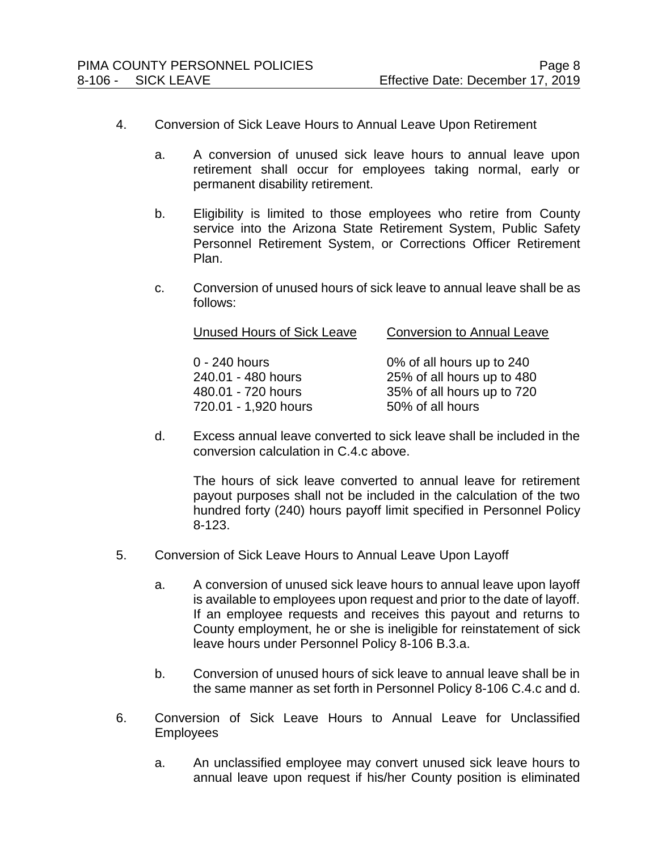- 4. Conversion of Sick Leave Hours to Annual Leave Upon Retirement
	- a. A conversion of unused sick leave hours to annual leave upon retirement shall occur for employees taking normal, early or permanent disability retirement.
	- b. Eligibility is limited to those employees who retire from County service into the Arizona State Retirement System, Public Safety Personnel Retirement System, or Corrections Officer Retirement Plan.
	- c. Conversion of unused hours of sick leave to annual leave shall be as follows:

|                                                                                                                                                                                                | <b>Conversion to Annual Leave</b> |
|------------------------------------------------------------------------------------------------------------------------------------------------------------------------------------------------|-----------------------------------|
| 0% of all hours up to 240<br>0 - 240 hours<br>25% of all hours up to 480<br>240.01 - 480 hours<br>35% of all hours up to 720<br>480.01 - 720 hours<br>720.01 - 1,920 hours<br>50% of all hours |                                   |

d. Excess annual leave converted to sick leave shall be included in the conversion calculation in C.4.c above.

The hours of sick leave converted to annual leave for retirement payout purposes shall not be included in the calculation of the two hundred forty (240) hours payoff limit specified in Personnel Policy 8-123.

- 5. Conversion of Sick Leave Hours to Annual Leave Upon Layoff
	- a. A conversion of unused sick leave hours to annual leave upon layoff is available to employees upon request and prior to the date of layoff. If an employee requests and receives this payout and returns to County employment, he or she is ineligible for reinstatement of sick leave hours under Personnel Policy 8-106 B.3.a.
	- b. Conversion of unused hours of sick leave to annual leave shall be in the same manner as set forth in Personnel Policy 8-106 C.4.c and d.
- 6. Conversion of Sick Leave Hours to Annual Leave for Unclassified **Employees** 
	- a. An unclassified employee may convert unused sick leave hours to annual leave upon request if his/her County position is eliminated